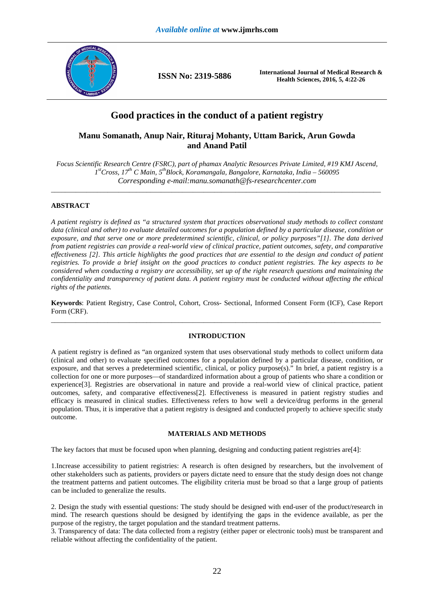

**ISSN No: 2319-5886 International Journal of Medical Research & Health Sciences, 2016, 5, 4:22-26** 

# **Good practices in the conduct of a patient registry**

## **Manu Somanath, Anup Nair, Rituraj Mohanty, Uttam Barick, Arun Gowda and Anand Patil**

*Focus Scientific Research Centre (FSRC), part of phamax Analytic Resources Private Limited, #19 KMJ Ascend, 1 stCross, 17th C Main, 5thBlock, Koramangala, Bangalore, Karnataka, India – 560095 Corresponding e-mail:manu.somanath@fs-researchcenter.com* 

\_\_\_\_\_\_\_\_\_\_\_\_\_\_\_\_\_\_\_\_\_\_\_\_\_\_\_\_\_\_\_\_\_\_\_\_\_\_\_\_\_\_\_\_\_\_\_\_\_\_\_\_\_\_\_\_\_\_\_\_\_\_\_\_\_\_\_\_\_\_\_\_\_\_\_\_\_\_\_\_\_\_\_\_\_\_\_\_\_\_\_\_\_

## **ABSTRACT**

*A patient registry is defined as "a structured system that practices observational study methods to collect constant data (clinical and other) to evaluate detailed outcomes for a population defined by a particular disease, condition or exposure, and that serve one or more predetermined scientific, clinical, or policy purposes"[1]. The data derived from patient registries can provide a real-world view of clinical practice, patient outcomes, safety, and comparative effectiveness [2]. This article highlights the good practices that are essential to the design and conduct of patient registries. To provide a brief insight on the good practices to conduct patient registries. The key aspects to be considered when conducting a registry are accessibility, set up of the right research questions and maintaining the confidentiality and transparency of patient data. A patient registry must be conducted without affecting the ethical rights of the patients.* 

**Keywords**: Patient Registry, Case Control, Cohort, Cross- Sectional, Informed Consent Form (ICF), Case Report Form (CRF). \_\_\_\_\_\_\_\_\_\_\_\_\_\_\_\_\_\_\_\_\_\_\_\_\_\_\_\_\_\_\_\_\_\_\_\_\_\_\_\_\_\_\_\_\_\_\_\_\_\_\_\_\_\_\_\_\_\_\_\_\_\_\_\_\_\_\_\_\_\_\_\_\_\_\_\_\_\_\_\_\_\_\_\_\_\_\_\_\_\_\_\_\_

## **INTRODUCTION**

A patient registry is defined as "an organized system that uses observational study methods to collect uniform data (clinical and other) to evaluate specified outcomes for a population defined by a particular disease, condition, or exposure, and that serves a predetermined scientific, clinical, or policy purpose(s)." In brief, a patient registry is a collection for one or more purposes—of standardized information about a group of patients who share a condition or experience[3]. Registries are observational in nature and provide a real-world view of clinical practice, patient outcomes, safety, and comparative effectiveness[2]. Effectiveness is measured in patient registry studies and efficacy is measured in clinical studies. Effectiveness refers to how well a device/drug performs in the general population. Thus, it is imperative that a patient registry is designed and conducted properly to achieve specific study outcome.

#### **MATERIALS AND METHODS**

The key factors that must be focused upon when planning, designing and conducting patient registries are[4]:

1.Increase accessibility to patient registries: A research is often designed by researchers, but the involvement of other stakeholders such as patients, providers or payers dictate need to ensure that the study design does not change the treatment patterns and patient outcomes. The eligibility criteria must be broad so that a large group of patients can be included to generalize the results.

2. Design the study with essential questions: The study should be designed with end-user of the product/research in mind. The research questions should be designed by identifying the gaps in the evidence available, as per the purpose of the registry, the target population and the standard treatment patterns.

3. Transparency of data: The data collected from a registry (either paper or electronic tools) must be transparent and reliable without affecting the confidentiality of the patient.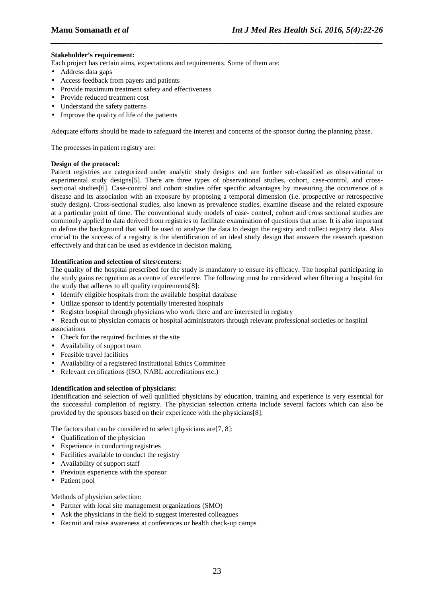### **Stakeholder's requirement:**

Each project has certain aims, expectations and requirements. Some of them are:

- Address data gaps
- Access feedback from payers and patients
- Provide maximum treatment safety and effectiveness
- Provide reduced treatment cost
- Understand the safety patterns
- Improve the quality of life of the patients

Adequate efforts should be made to safeguard the interest and concerns of the sponsor during the planning phase.

*\_\_\_\_\_\_\_\_\_\_\_\_\_\_\_\_\_\_\_\_\_\_\_\_\_\_\_\_\_\_\_\_\_\_\_\_\_\_\_\_\_\_\_\_\_\_\_\_\_\_\_\_\_\_\_\_\_\_\_\_\_\_\_\_\_\_\_\_\_\_\_\_\_\_\_\_\_\_*

The processes in patient registry are:

#### **Design of the protocol:**

Patient registries are categorized under analytic study designs and are further sub-classified as observational or experimental study designs[5]. There are three types of observational studies, cohort, case-control, and crosssectional studies[6]. Case-control and cohort studies offer specific advantages by measuring the occurrence of a disease and its association with an exposure by proposing a temporal dimension (i.e. prospective or retrospective study design). Cross-sectional studies, also known as prevalence studies, examine disease and the related exposure at a particular point of time. The conventional study models of case- control, cohort and cross sectional studies are commonly applied to data derived from registries to facilitate examination of questions that arise. It is also important to define the background that will be used to analyse the data to design the registry and collect registry data. Also crucial to the success of a registry is the identification of an ideal study design that answers the research question effectively and that can be used as evidence in decision making.

#### **Identification and selection of sites/centers:**

The quality of the hospital prescribed for the study is mandatory to ensure its efficacy. The hospital participating in the study gains recognition as a centre of excellence. The following must be considered when filtering a hospital for the study that adheres to all quality requirements[8]:

- Identify eligible hospitals from the available hospital database
- Utilize sponsor to identify potentially interested hospitals
- Register hospital through physicians who work there and are interested in registry

• Reach out to physician contacts or hospital administrators through relevant professional societies or hospital associations

- Check for the required facilities at the site
- Availability of support team
- Feasible travel facilities
- Availability of a registered Institutional Ethics Committee
- Relevant certifications (ISO, NABL accreditations etc.)

#### **Identification and selection of physicians:**

Identification and selection of well qualified physicians by education, training and experience is very essential for the successful completion of registry. The physician selection criteria include several factors which can also be provided by the sponsors based on their experience with the physicians[8].

The factors that can be considered to select physicians are[7, 8]:

- Qualification of the physician
- Experience in conducting registries
- Facilities available to conduct the registry
- Availability of support staff
- Previous experience with the sponsor
- Patient pool

Methods of physician selection:

- Partner with local site management organizations (SMO)
- Ask the physicians in the field to suggest interested colleagues
- Recruit and raise awareness at conferences or health check-up camps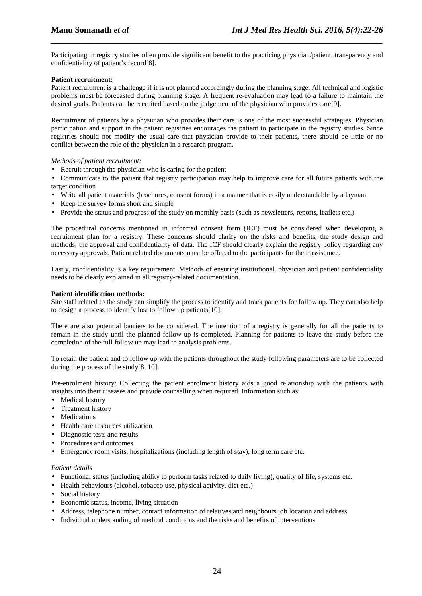Participating in registry studies often provide significant benefit to the practicing physician/patient, transparency and confidentiality of patient's record[8].

*\_\_\_\_\_\_\_\_\_\_\_\_\_\_\_\_\_\_\_\_\_\_\_\_\_\_\_\_\_\_\_\_\_\_\_\_\_\_\_\_\_\_\_\_\_\_\_\_\_\_\_\_\_\_\_\_\_\_\_\_\_\_\_\_\_\_\_\_\_\_\_\_\_\_\_\_\_\_*

#### **Patient recruitment:**

Patient recruitment is a challenge if it is not planned accordingly during the planning stage. All technical and logistic problems must be forecasted during planning stage. A frequent re-evaluation may lead to a failure to maintain the desired goals. Patients can be recruited based on the judgement of the physician who provides care[9].

Recruitment of patients by a physician who provides their care is one of the most successful strategies. Physician participation and support in the patient registries encourages the patient to participate in the registry studies. Since registries should not modify the usual care that physician provide to their patients, there should be little or no conflict between the role of the physician in a research program.

#### *Methods of patient recruitment:*

- Recruit through the physician who is caring for the patient
- Communicate to the patient that registry participation may help to improve care for all future patients with the target condition
- Write all patient materials (brochures, consent forms) in a manner that is easily understandable by a layman
- Keep the survey forms short and simple
- Provide the status and progress of the study on monthly basis (such as newsletters, reports, leaflets etc.)

The procedural concerns mentioned in informed consent form (ICF) must be considered when developing a recruitment plan for a registry. These concerns should clarify on the risks and benefits, the study design and methods, the approval and confidentiality of data. The ICF should clearly explain the registry policy regarding any necessary approvals. Patient related documents must be offered to the participants for their assistance.

Lastly, confidentiality is a key requirement. Methods of ensuring institutional, physician and patient confidentiality needs to be clearly explained in all registry-related documentation.

#### **Patient identification methods:**

Site staff related to the study can simplify the process to identify and track patients for follow up. They can also help to design a process to identify lost to follow up patients[10].

There are also potential barriers to be considered. The intention of a registry is generally for all the patients to remain in the study until the planned follow up is completed. Planning for patients to leave the study before the completion of the full follow up may lead to analysis problems.

To retain the patient and to follow up with the patients throughout the study following parameters are to be collected during the process of the study[8, 10].

Pre-enrolment history: Collecting the patient enrolment history aids a good relationship with the patients with insights into their diseases and provide counselling when required. Information such as:

- Medical history
- Treatment history
- Medications
- Health care resources utilization
- Diagnostic tests and results
- Procedures and outcomes
- Emergency room visits, hospitalizations (including length of stay), long term care etc.

#### *Patient details*

- Functional status (including ability to perform tasks related to daily living), quality of life, systems etc.
- Health behaviours (alcohol, tobacco use, physical activity, diet etc.)
- Social history
- Economic status, income, living situation
- Address, telephone number, contact information of relatives and neighbours job location and address
- Individual understanding of medical conditions and the risks and benefits of interventions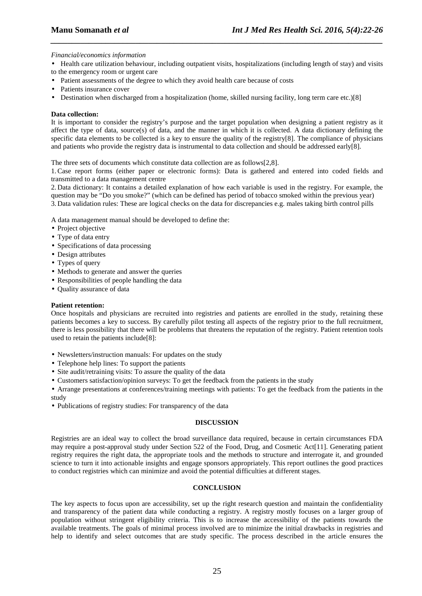#### *Financial/economics information*

• Health care utilization behaviour, including outpatient visits, hospitalizations (including length of stay) and visits to the emergency room or urgent care

*\_\_\_\_\_\_\_\_\_\_\_\_\_\_\_\_\_\_\_\_\_\_\_\_\_\_\_\_\_\_\_\_\_\_\_\_\_\_\_\_\_\_\_\_\_\_\_\_\_\_\_\_\_\_\_\_\_\_\_\_\_\_\_\_\_\_\_\_\_\_\_\_\_\_\_\_\_\_*

- Patient assessments of the degree to which they avoid health care because of costs
- Patients insurance cover
- Destination when discharged from a hospitalization (home, skilled nursing facility, long term care etc.)[8]

#### **Data collection:**

It is important to consider the registry's purpose and the target population when designing a patient registry as it affect the type of data, source(s) of data, and the manner in which it is collected. A data dictionary defining the specific data elements to be collected is a key to ensure the quality of the registry[8]. The compliance of physicians and patients who provide the registry data is instrumental to data collection and should be addressed early[8].

The three sets of documents which constitute data collection are as follows[2,8].

1.Case report forms (either paper or electronic forms): Data is gathered and entered into coded fields and transmitted to a data management centre

2. Data dictionary: It contains a detailed explanation of how each variable is used in the registry. For example, the question may be "Do you smoke?" (which can be defined has period of tobacco smoked within the previous year) 3. Data validation rules: These are logical checks on the data for discrepancies e.g. males taking birth control pills

A data management manual should be developed to define the:

- Project objective
- Type of data entry
- Specifications of data processing
- Design attributes
- Types of query
- Methods to generate and answer the queries
- Responsibilities of people handling the data
- Quality assurance of data

#### **Patient retention:**

Once hospitals and physicians are recruited into registries and patients are enrolled in the study, retaining these patients becomes a key to success. By carefully pilot testing all aspects of the registry prior to the full recruitment, there is less possibility that there will be problems that threatens the reputation of the registry. Patient retention tools used to retain the patients include[8]:

- Newsletters/instruction manuals: For updates on the study
- Telephone help lines: To support the patients
- Site audit/retraining visits: To assure the quality of the data
- Customers satisfaction/opinion surveys: To get the feedback from the patients in the study
- Arrange presentations at conferences/training meetings with patients: To get the feedback from the patients in the study
- Publications of registry studies: For transparency of the data

#### **DISCUSSION**

Registries are an ideal way to collect the broad surveillance data required, because in certain circumstances FDA may require a post-approval study under Section 522 of the Food, Drug, and Cosmetic Act[11]. Generating patient registry requires the right data, the appropriate tools and the methods to structure and interrogate it, and grounded science to turn it into actionable insights and engage sponsors appropriately. This report outlines the good practices to conduct registries which can minimize and avoid the potential difficulties at different stages.

#### **CONCLUSION**

The key aspects to focus upon are accessibility, set up the right research question and maintain the confidentiality and transparency of the patient data while conducting a registry. A registry mostly focuses on a larger group of population without stringent eligibility criteria. This is to increase the accessibility of the patients towards the available treatments. The goals of minimal process involved are to minimize the initial drawbacks in registries and help to identify and select outcomes that are study specific. The process described in the article ensures the